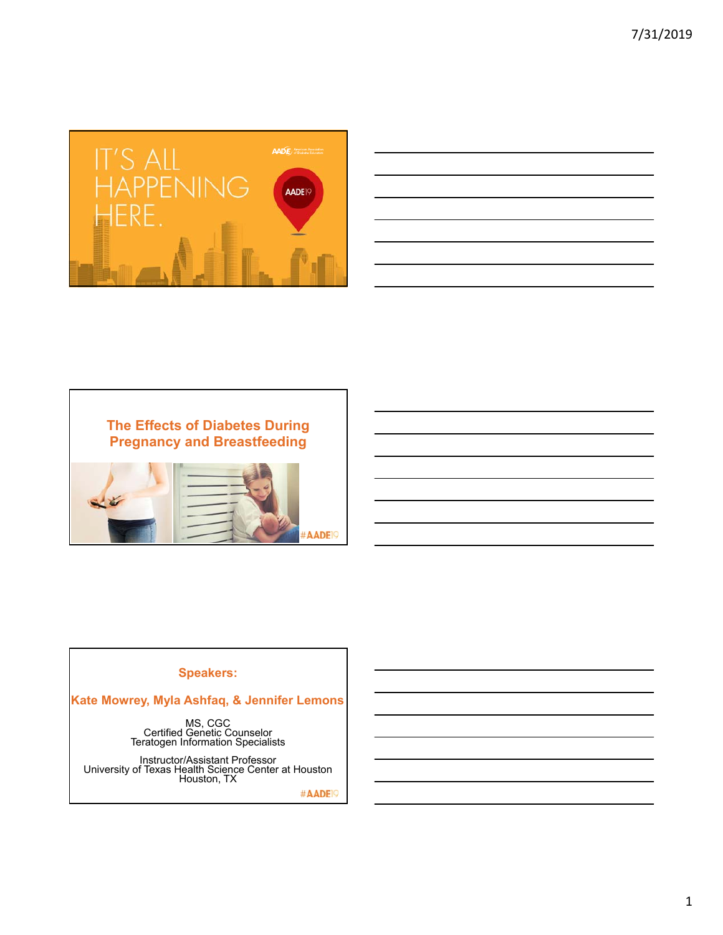

| <u> 1989 - Johann John Stone, markin sanadi amerikan bahasa dan berasal dan berasal dalam berasal dalam berasal da</u> |  |  |                                                             |                                   |
|------------------------------------------------------------------------------------------------------------------------|--|--|-------------------------------------------------------------|-----------------------------------|
|                                                                                                                        |  |  |                                                             | and the control of the control of |
| and the control of the control of the control of the control of the control of the control of the control of the       |  |  |                                                             |                                   |
|                                                                                                                        |  |  |                                                             |                                   |
| <u> 1989 - Johann Stoff, amerikansk politiker (* 1908)</u>                                                             |  |  |                                                             |                                   |
|                                                                                                                        |  |  | <u> 1989 - Johann Stoff, amerikansk politiker (d. 1989)</u> |                                   |
| <u> 1989 - Andrea Santa Andrea Andrea Andrea Andrea Andrea Andrea Andrea Andrea Andrea Andrea Andrea Andrea Andr</u>   |  |  |                                                             |                                   |
|                                                                                                                        |  |  |                                                             |                                   |





#### **Speakers:**

**Kate Mowrey, Myla Ashfaq, & Jennifer Lemons**

MS, CGC<br>Certified Genetic Counselor<br>Teratogen Information Specialists

Instructor/Assistant Professor University of Texas Health Science Center at Houston Houston, TX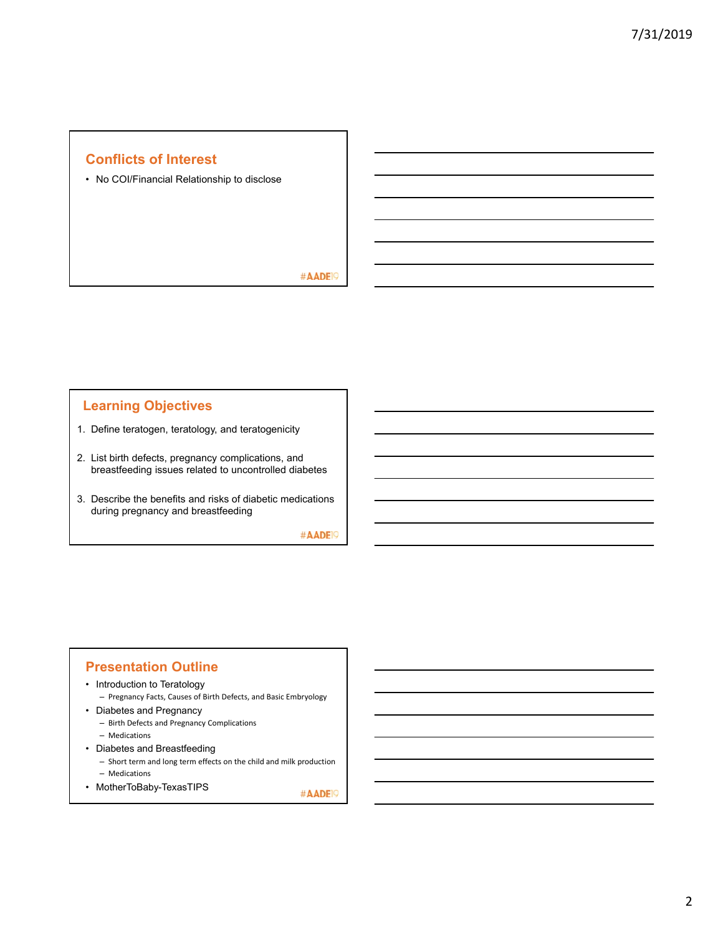# **Conflicts of Interest**

• No COI/Financial Relationship to disclose

#AADE<sup>19</sup>

# **Learning Objectives**

- 1. Define teratogen, teratology, and teratogenicity
- 2. List birth defects, pregnancy complications, and breastfeeding issues related to uncontrolled diabetes
- 3. Describe the benefits and risks of diabetic medications during pregnancy and breastfeeding

#AADE<sup>19</sup>

## **Presentation Outline**

- Introduction to Teratology
	- Pregnancy Facts, Causes of Birth Defects, and Basic Embryology
- Diabetes and Pregnancy
	- Birth Defects and Pregnancy Complications
	- Medications
- Diabetes and Breastfeeding
	- Short term and long term effects on the child and milk production
- Medications • MotherToBaby-TexasTIPS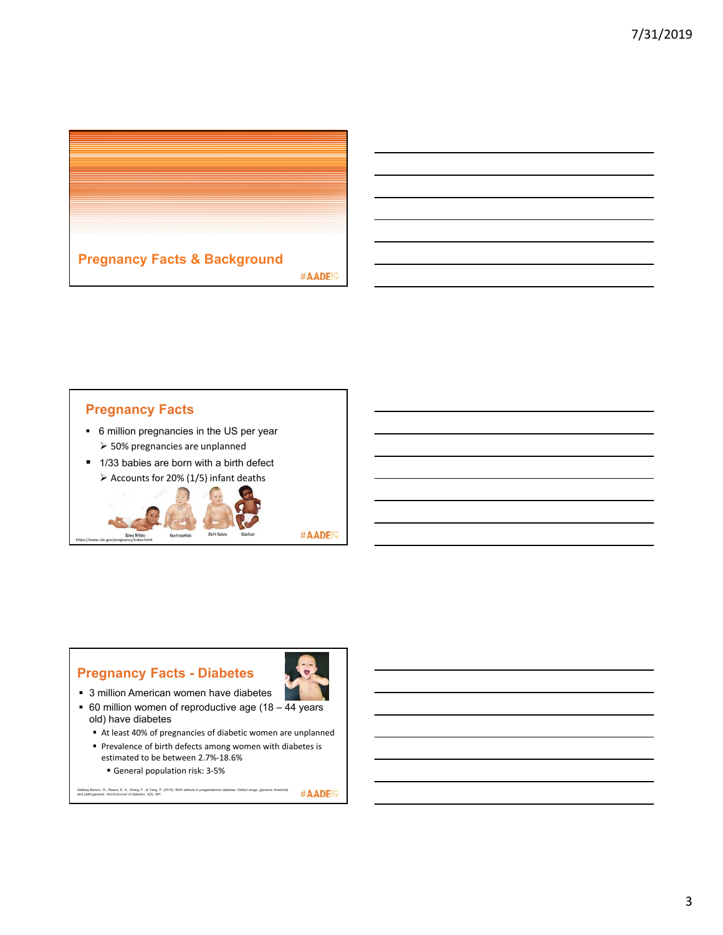

# **Pregnancy Facts**

https://www.cdc.gov/pregnancy/index.html

- 6 million pregnancies in the US per year 50% pregnancies are unplanned
- 1/33 babies are born with a birth defect



#AADE<sup>19</sup>

# **Pregnancy Facts - Diabetes**



- 3 million American women have diabetes
- $\bullet$  60 million women of reproductive age (18  $\overline{44}$  years old) have diabetes
	- At least 40% of pregnancies of diabetic women are unplanned
	- Prevalence of birth defects among women with diabetes is estimated to be between 2.7%‐18.6%
		- General population risk: 3-5%

#AADE<sup>19</sup> Gabbay-Benziv, R., Reece, E. A., Wang, F., & Yang, P. (2015). Birth defects in pregestational diabetes: Defect range, glycemic threshold<br>and pathogenesis. *World journal of diabetes*, *6*(3), 481.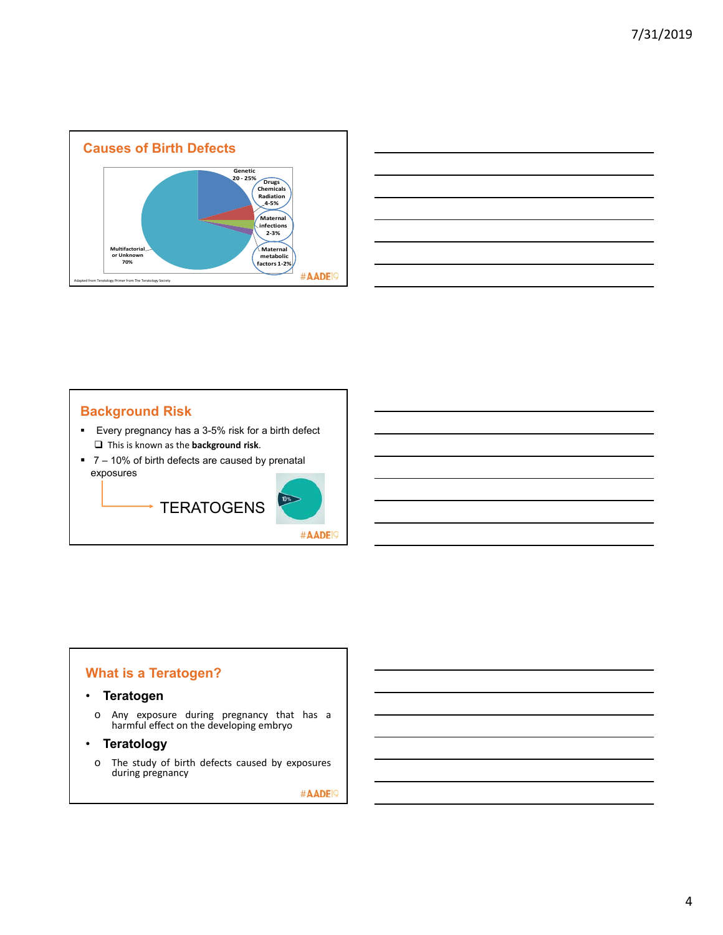

|                                                                                                                      | _____     |
|----------------------------------------------------------------------------------------------------------------------|-----------|
|                                                                                                                      | _________ |
|                                                                                                                      | ____      |
| and the contract of the contract of the contract of the contract of the contract of the contract of the contract of  |           |
|                                                                                                                      |           |
|                                                                                                                      |           |
| <u> 1989 - Andrea Santa Andrea Andrea Andrea Andrea Andrea Andrea Andrea Andrea Andrea Andrea Andrea Andrea Andr</u> |           |

# **Background Risk**

- Every pregnancy has a 3-5% risk for a birth defect This is known as the **background risk**.
- 7 10% of birth defects are caused by prenatal exposures



# **What is a Teratogen?**

#### • **Teratogen**

o Any exposure during pregnancy that has a harmful effect on the developing embryo

#### • **Teratology**

o The study of birth defects caused by exposures during pregnancy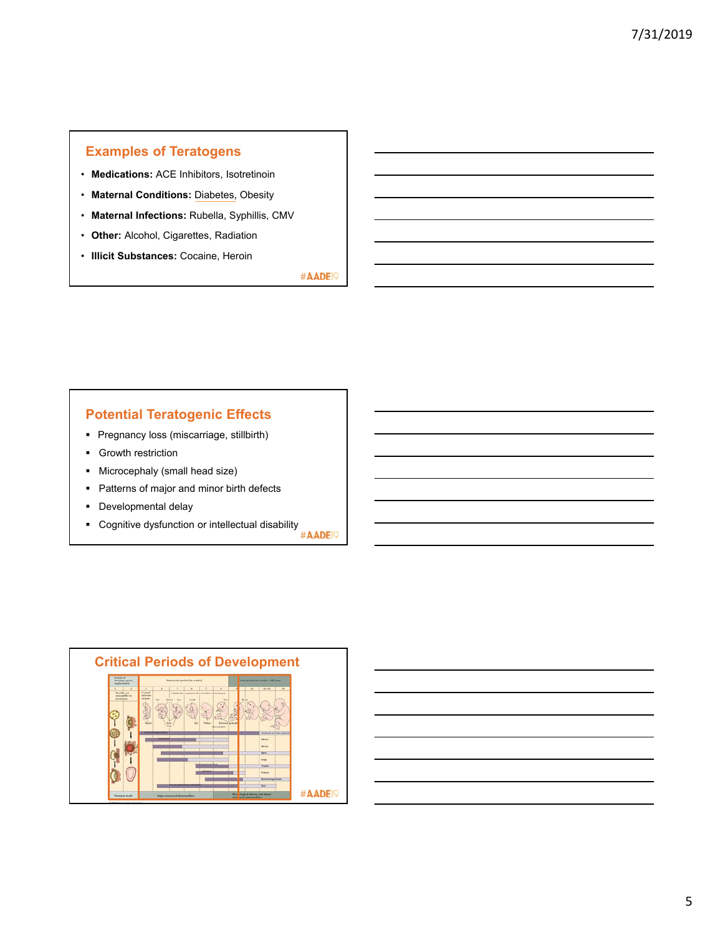# **Examples of Teratogens**

- **Medications:** ACE Inhibitors, Isotretinoin
- **Maternal Conditions:** Diabetes, Obesity
- **Maternal Infections:** Rubella, Syphillis, CMV
- **Other:** Alcohol, Cigarettes, Radiation
- **Illicit Substances:** Cocaine, Heroin

#AADE<sup>19</sup>

# **Potential Teratogenic Effects**

- **Pregnancy loss (miscarriage, stillbirth)**
- **Growth restriction**
- **Microcephaly (small head size)**
- Patterns of major and minor birth defects
- **Developmental delay**
- Cognitive dysfunction or intellectual disability<br> **EXECUTE:**



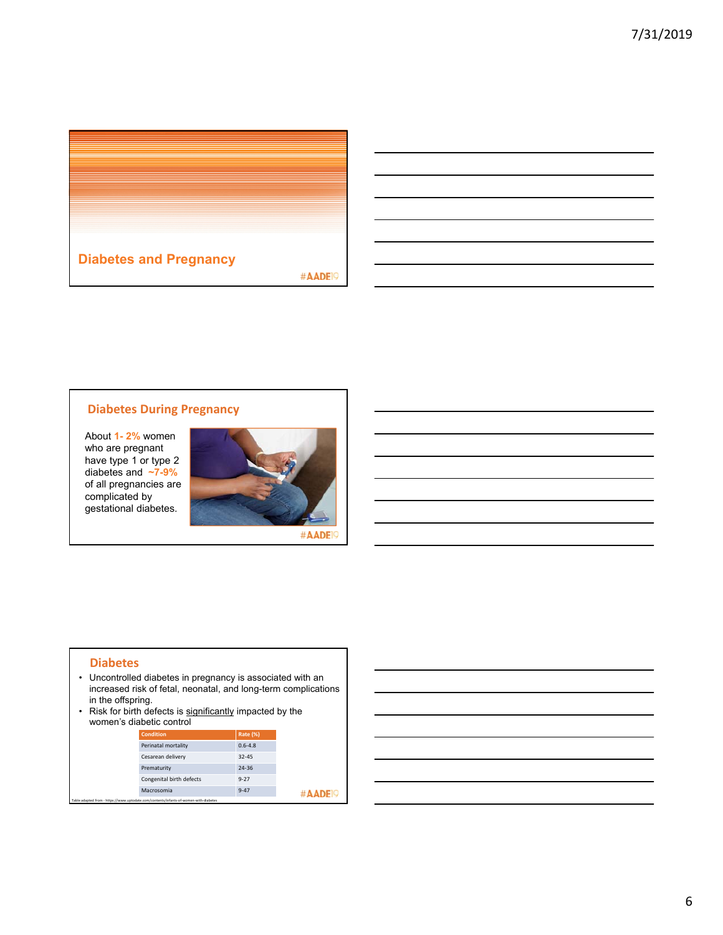

#### **Diabetes During Pregnancy**

About **1- 2%** women who are pregnant have type 1 or type 2 diabetes and **~7-9%**  of all pregnancies are complicated by gestational diabetes.



#AADE<sup>19</sup>

#### **Diabetes**

- Uncontrolled diabetes in pregnancy is associated with an increased risk of fetal, neonatal, and long-term complications in the offspring.
- Risk for birth defects is significantly impacted by the women's diabetic control

| <b>Condition</b>                                                                      | <b>Rate (%)</b> |
|---------------------------------------------------------------------------------------|-----------------|
| Perinatal mortality                                                                   | $0.6 - 4.8$     |
| Cesarean delivery                                                                     | $32 - 45$       |
| Prematurity                                                                           | 24-36           |
| Congenital birth defects                                                              | $9 - 27$        |
| Macrosomia                                                                            | $9 - 47$        |
| Table adapted from - https://www.uptodate.com/contents/infants-of-women-with-diabetes |                 |

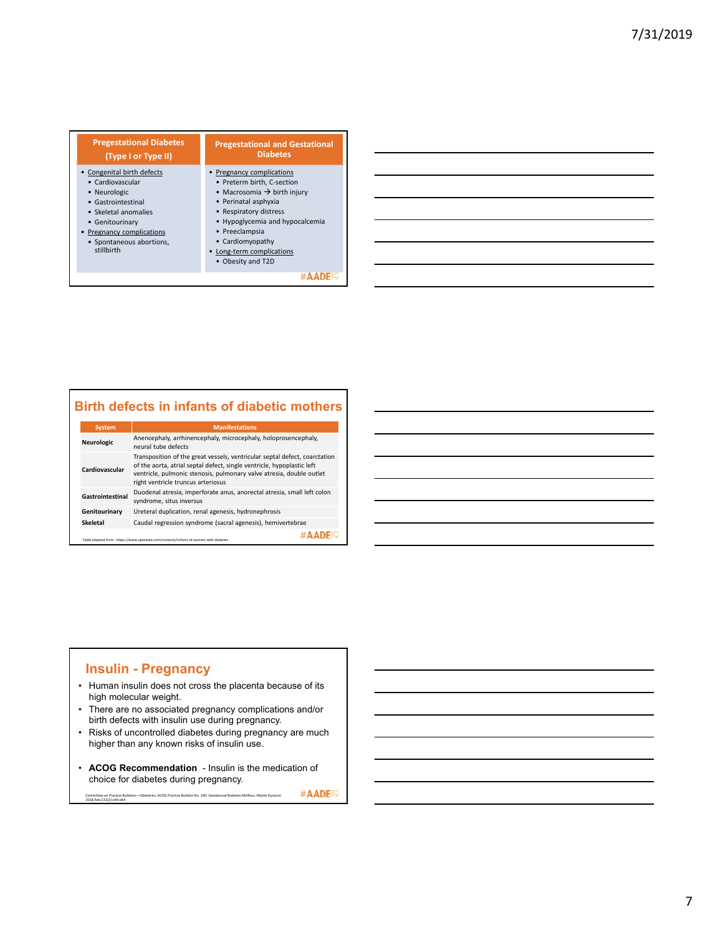| <b>Pregestational Diabetes</b><br>(Type I or Type II)                                                                                                                                                  | <b>Pregestational and Gestational</b><br><b>Diabetes</b>                                                                                                                                                                                                                    |
|--------------------------------------------------------------------------------------------------------------------------------------------------------------------------------------------------------|-----------------------------------------------------------------------------------------------------------------------------------------------------------------------------------------------------------------------------------------------------------------------------|
| • Congenital birth defects<br>• Cardiovascular<br>• Neurologic<br>• Gastrointestinal<br>• Skeletal anomalies<br>• Genitourinary<br>• Pregnancy complications<br>• Spontaneous abortions,<br>stillbirth | Pregnancy complications<br>• Preterm birth, C-section<br>• Macrosomia $\rightarrow$ birth injury<br>• Perinatal asphyxia<br>• Respiratory distress<br>• Hypoglycemia and hypocalcemia<br>• Preeclampsia<br>• Cardiomyopathy<br>Long-term complications<br>• Obesity and T2D |
|                                                                                                                                                                                                        |                                                                                                                                                                                                                                                                             |

# **Birth defects in infants of diabetic mothers**

| <b>System</b>                                                                                                                                                                                                                                                                        | <b>Manifestations</b>                                                                               |  |  |
|--------------------------------------------------------------------------------------------------------------------------------------------------------------------------------------------------------------------------------------------------------------------------------------|-----------------------------------------------------------------------------------------------------|--|--|
| Neurologic                                                                                                                                                                                                                                                                           | Anencephaly, arrhinencephaly, microcephaly, holoprosencephaly,<br>neural tube defects               |  |  |
| Transposition of the great vessels, ventricular septal defect, coarctation<br>of the aorta, atrial septal defect, single ventricle, hypoplastic left<br>Cardiovascular<br>ventricle, pulmonic stenosis, pulmonary valve atresia, double outlet<br>right ventricle truncus arteriosus |                                                                                                     |  |  |
| Gastrointestinal                                                                                                                                                                                                                                                                     | Duodenal atresia, imperforate anus, anorectal atresia, small left colon<br>syndrome, situs inversus |  |  |
| Genitourinary                                                                                                                                                                                                                                                                        | Ureteral duplication, renal agenesis, hydronephrosis                                                |  |  |
| <b>Skeletal</b>                                                                                                                                                                                                                                                                      | Caudal regression syndrome (sacral agenesis), hemivertebrae                                         |  |  |
| Table adapted from - https://www.uptodate.com/contents/infants-of-women-with-diabetes                                                                                                                                                                                                |                                                                                                     |  |  |

## **Insulin - Pregnancy**

- Human insulin does not cross the placenta because of its high molecular weight.
- There are no associated pregnancy complications and/or birth defects with insulin use during pregnancy.
- Risks of uncontrolled diabetes during pregnancy are much higher than any known risks of insulin use.
- **ACOG Recommendation** Insulin is the medication of choice for diabetes during pregnancy.

#AADE<sup>19</sup> Committee on Practice Bulletins—Obstetrics. ACOG Practice Bulletin No. 190: Gestational Diabetes Mellitus. Obstet Gynecol. 2018 Feb;131(2):e49‐e64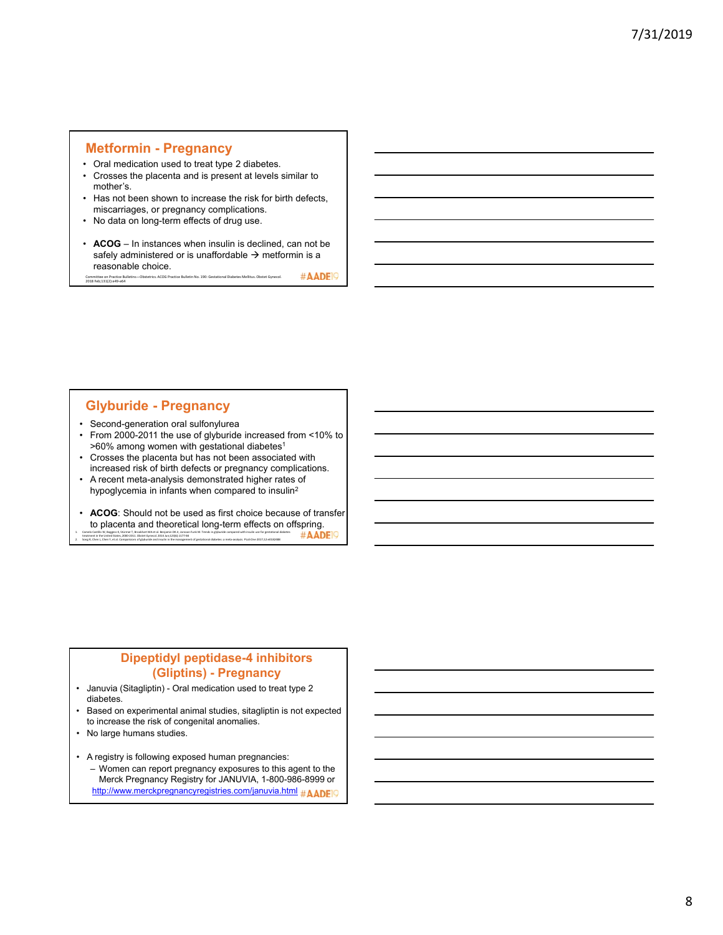#### **Metformin - Pregnancy**

- Oral medication used to treat type 2 diabetes.
- Crosses the placenta and is present at levels similar to mother's.
- Has not been shown to increase the risk for birth defects, miscarriages, or pregnancy complications.
- No data on long-term effects of drug use.
- **ACOG** In instances when insulin is declined, can not be safely administered or is unaffordable  $\rightarrow$  metformin is a reasonable choice. **CORSONABLE CHOICE.**<br>Committee on Practice Bulletins—Obstetrics. ACOG Practice Bulletin No. 190: Gestational Diabetes Mellitus. Obstet Gynecol.<br>2018 Feb;131(2):e49−e64

#AADE<sup>O</sup>

#### **Glyburide - Pregnancy**

- Second-generation oral sulfonylurea
- From 2000-2011 the use of glyburide increased from <10% to  $>60\%$  among women with gestational diabetes<sup>1</sup>
- Crosses the placenta but has not been associated with increased risk of birth defects or pregnancy complications.
- A recent meta-analysis demonstrated higher rates of hypoglycemia in infants when compared to insulin2
- **ACOG**: Should not be used as first choice because of transfer to placenta and theoretical long-term effects on offspring.<br>  $\#$ AADEIO 1. Camelo Castilo W, Boggess K, Stürmer T, Brookhart MA et al. Benjamin DK.kr, Jonsson Funk M. Trends in glyburide companed with insulin use for gestational diabetes<br>treatment in the United States, 2000-2011. Obstet Gyneol ttreatment Gynecol. 2014 Jun;123(6):1177-84

## **Dipeptidyl peptidase-4 inhibitors (Gliptins) - Pregnancy**

- Januvia (Sitagliptin) Oral medication used to treat type 2 diabetes.
- Based on experimental animal studies, sitagliptin is not expected to increase the risk of congenital anomalies.
- No large humans studies.
- A registry is following exposed human pregnancies: – Women can report pregnancy exposures to this agent to the Merck Pregnancy Registry for JANUVIA, 1-800-986-8999 or http://www.merckpregnancyregistries.com/januvia.html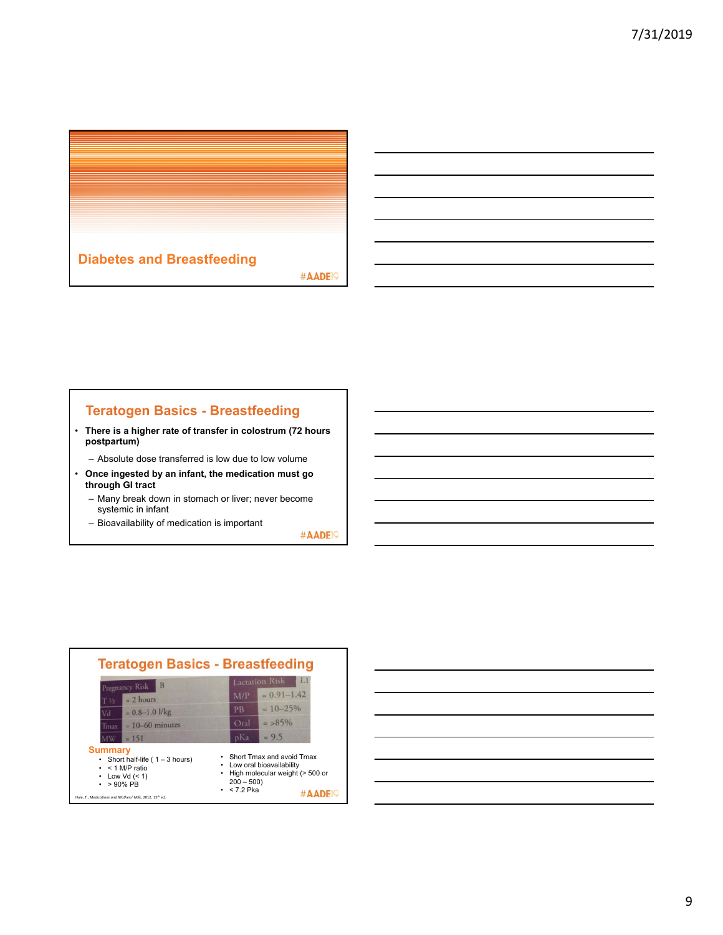

# **Teratogen Basics - Breastfeeding**

- **There is a higher rate of transfer in colostrum (72 hours postpartum)** 
	- Absolute dose transferred is low due to low volume
- **Once ingested by an infant, the medication must go through GI tract**
	- Many break down in stomach or liver; never become systemic in infant
	- Bioavailability of medication is important



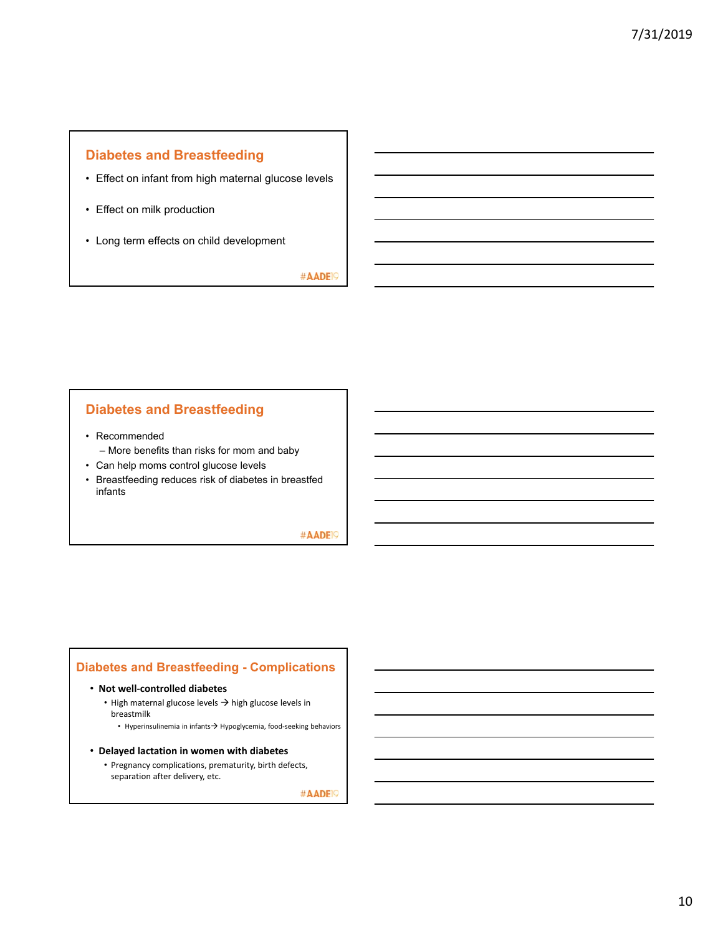# **Diabetes and Breastfeeding**

- Effect on infant from high maternal glucose levels
- Effect on milk production
- Long term effects on child development

#AADE<sup>19</sup>

## **Diabetes and Breastfeeding**

- Recommended
	- More benefits than risks for mom and baby
- Can help moms control glucose levels
- Breastfeeding reduces risk of diabetes in breastfed infants

## #AADE<sup>19</sup>

## **Diabetes and Breastfeeding - Complications**

#### • **Not well‐controlled diabetes**

- High maternal glucose levels  $\rightarrow$  high glucose levels in breastmilk
	- Hyperinsulinemia in infants $\rightarrow$  Hypoglycemia, food-seeking behaviors
- **Delayed lactation in women with diabetes**
	- Pregnancy complications, prematurity, birth defects, separation after delivery, etc.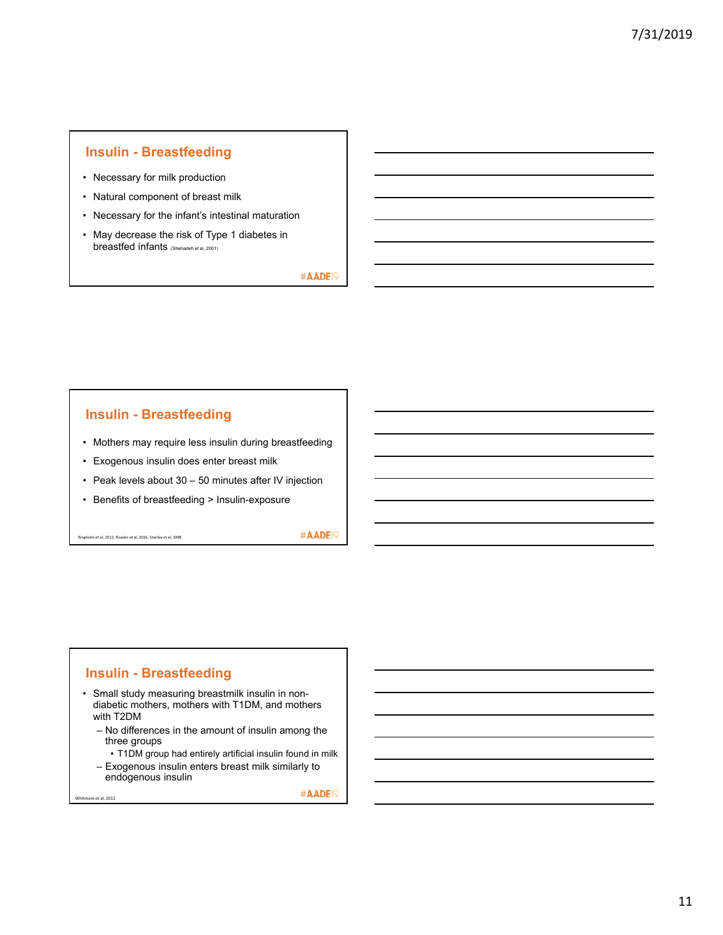#### **Insulin - Breastfeeding**

- Necessary for milk production
- Natural component of breast milk
- Necessary for the infant's intestinal maturation
- May decrease the risk of Type 1 diabetes in breastfed infants (Shehadeh et al, 2001)

#AADE<sup>19</sup>

#### **Insulin - Breastfeeding**

- Mothers may require less insulin during breastfeeding
- Exogenous insulin does enter breast milk
- Peak levels about 30 50 minutes after IV injection
- Benefits of breastfeeding > Insulin-exposure

Ringholm et al, 2012; Roeder et al, 2016; Stanley et al, 1998

re et al, 2012

#AADE<sup>19</sup>

#### **Insulin - Breastfeeding**

- Small study measuring breastmilk insulin in nondiabetic mothers, mothers with T1DM, and mothers with T2DM
	- No differences in the amount of insulin among the three groups
		- T1DM group had entirely artificial insulin found in milk
	- Exogenous insulin enters breast milk similarly to endogenous insulin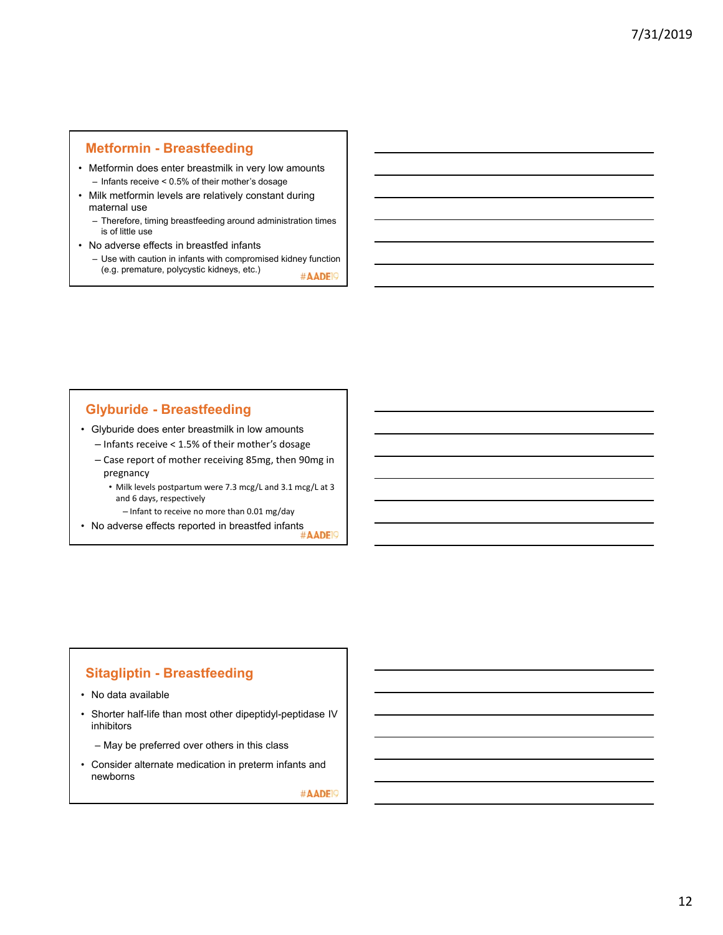### **Metformin - Breastfeeding**

- Metformin does enter breastmilk in very low amounts – Infants receive < 0.5% of their mother's dosage
- Milk metformin levels are relatively constant during maternal use
	- Therefore, timing breastfeeding around administration times is of little use
- No adverse effects in breastfed infants
	- Use with caution in infants with compromised kidney function (e.g. premature, polycystic kidneys, etc.) #AADE<sup>19</sup>

# **Glyburide - Breastfeeding**

• Glyburide does enter breastmilk in low amounts

- Infants receive < 1.5% of their mother's dosage
- Case report of mother receiving 85mg, then 90mg in pregnancy
	- Milk levels postpartum were 7.3 mcg/L and 3.1 mcg/L at 3 and 6 days, respectively
		- Infant to receive no more than 0.01 mg/day
- No adverse effects reported in breastfed infants

# **Sitagliptin - Breastfeeding**

- No data available
- Shorter half-life than most other dipeptidyl-peptidase IV inhibitors
	- May be preferred over others in this class
- Consider alternate medication in preterm infants and newborns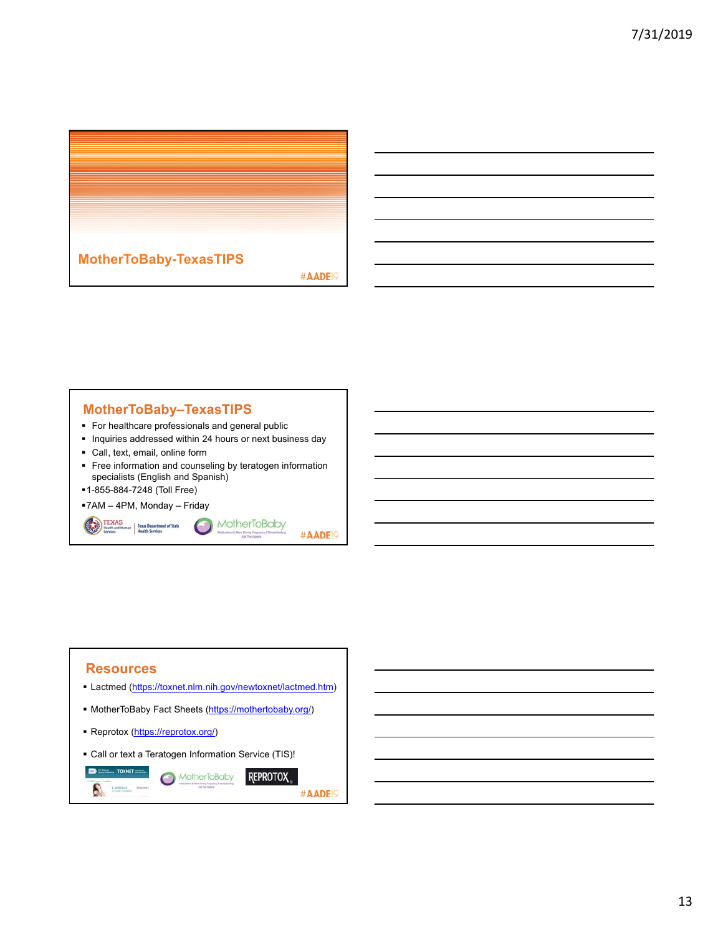

# **MotherToBaby–TexasTIPS**

- For healthcare professionals and general public
- **Inquiries addressed within 24 hours or next business day**
- Call, text, email, online form
- **Figure 1** Free information and counseling by teratogen information specialists (English and Spanish)

 $\bullet$ 

1-855-884-7248 (Toll Free)

TEXAS<br>
Mealth and Human<br>
Health Services<br>
Health Services<br>
Health Services

7AM – 4PM, Monday – Friday

MotherToBaby #AADE<sup>19</sup>

#### **Resources**

- Lactmed (https://toxnet.nlm.nih.gov/newtoxnet/lactmed.htm)
- MotherToBaby Fact Sheets (https://mothertobaby.org/)
- Reprotox (https://reprotox.org/)
- Call or text a Teratogen Information Service (TIS)!

```
\blacksquareMotherToBaby
                                                    REPROTOX
 A
                                                                     #AADE<sup>19</sup>
```
13